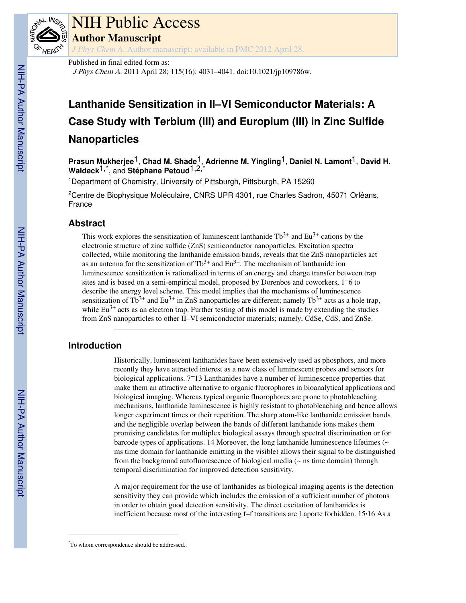

# NIH Public Access

**Author Manuscript**

*J Phys Chem A*. Author manuscript; available in PMC 2012 April 28.

Published in final edited form as:

J Phys Chem A. 2011 April 28; 115(16): 4031–4041. doi:10.1021/jp109786w.

# **Lanthanide Sensitization in II–VI Semiconductor Materials: A Case Study with Terbium (III) and Europium (III) in Zinc Sulfide Nanoparticles**

**Prasun Mukherjee**1, **Chad M. Shade**1, **Adrienne M. Yingling**1, **Daniel N. Lamont**1, **David H. Waldeck**1,\*, and **Stéphane Petoud**1,2,\*

<sup>1</sup>Department of Chemistry, University of Pittsburgh, Pittsburgh, PA 15260

<sup>2</sup>Centre de Biophysique Moléculaire, CNRS UPR 4301, rue Charles Sadron, 45071 Orléans, France

# **Abstract**

This work explores the sensitization of luminescent lanthanide  $Tb^{3+}$  and  $Eu^{3+}$  cations by the electronic structure of zinc sulfide (ZnS) semiconductor nanoparticles. Excitation spectra collected, while monitoring the lanthanide emission bands, reveals that the ZnS nanoparticles act as an antenna for the sensitization of  $Tb^{3+}$  and  $Eu^{3+}$ . The mechanism of lanthanide ion luminescence sensitization is rationalized in terms of an energy and charge transfer between trap sites and is based on a semi-empirical model, proposed by Dorenbos and coworkers, 1–6 to describe the energy level scheme. This model implies that the mechanisms of luminescence sensitization of Tb<sup>3+</sup> and Eu<sup>3+</sup> in ZnS nanoparticles are different; namely Tb<sup>3+</sup> acts as a hole trap, while  $Eu^{3+}$  acts as an electron trap. Further testing of this model is made by extending the studies from ZnS nanoparticles to other II–VI semiconductor materials; namely, CdSe, CdS, and ZnSe.

# **Introduction**

Historically, luminescent lanthanides have been extensively used as phosphors, and more recently they have attracted interest as a new class of luminescent probes and sensors for biological applications. 7–13 Lanthanides have a number of luminescence properties that make them an attractive alternative to organic fluorophores in bioanalytical applications and biological imaging. Whereas typical organic fluorophores are prone to photobleaching mechanisms, lanthanide luminescence is highly resistant to photobleaching and hence allows longer experiment times or their repetition. The sharp atom-like lanthanide emission bands and the negligible overlap between the bands of different lanthanide ions makes them promising candidates for multiplex biological assays through spectral discrimination or for barcode types of applications. 14 Moreover, the long lanthanide luminescence lifetimes ( $\sim$ ms time domain for lanthanide emitting in the visible) allows their signal to be distinguished from the background autofluorescence of biological media (~ ns time domain) through temporal discrimination for improved detection sensitivity.

A major requirement for the use of lanthanides as biological imaging agents is the detection sensitivity they can provide which includes the emission of a sufficient number of photons in order to obtain good detection sensitivity. The direct excitation of lanthanides is inefficient because most of the interesting f–f transitions are Laporte forbidden. 15,16 As a

NIH-PA Actrior Manuscript NIH-PA Author Manuscript

<sup>\*</sup>To whom correspondence should be addressed..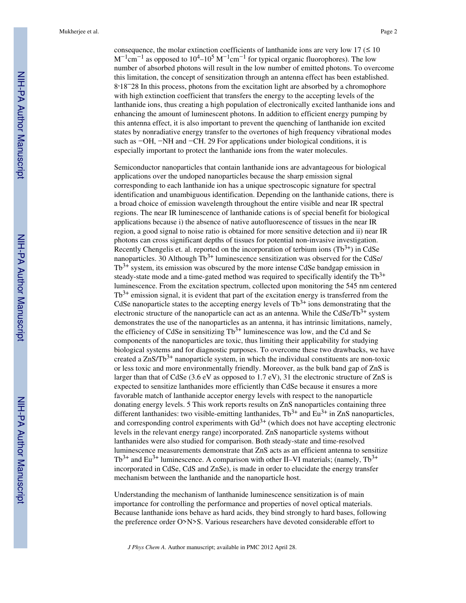consequence, the molar extinction coefficients of lanthanide ions are very low  $17 \leq 10$  $M^{-1}$ cm<sup>-1</sup> as opposed to 10<sup>4</sup>-10<sup>5</sup>  $M^{-1}$ cm<sup>-1</sup> for typical organic fluorophores). The low number of absorbed photons will result in the low number of emitted photons. To overcome this limitation, the concept of sensitization through an antenna effect has been established. 8 ,18–28 In this process, photons from the excitation light are absorbed by a chromophore with high extinction coefficient that transfers the energy to the accepting levels of the lanthanide ions, thus creating a high population of electronically excited lanthanide ions and enhancing the amount of luminescent photons. In addition to efficient energy pumping by this antenna effect, it is also important to prevent the quenching of lanthanide ion excited states by nonradiative energy transfer to the overtones of high frequency vibrational modes such as −OH, −NH and −CH. 29 For applications under biological conditions, it is especially important to protect the lanthanide ions from the water molecules.

Semiconductor nanoparticles that contain lanthanide ions are advantageous for biological applications over the undoped nanoparticles because the sharp emission signal corresponding to each lanthanide ion has a unique spectroscopic signature for spectral identification and unambiguous identification. Depending on the lanthanide cations, there is a broad choice of emission wavelength throughout the entire visible and near IR spectral regions. The near IR luminescence of lanthanide cations is of special benefit for biological applications because i) the absence of native autofluorescence of tissues in the near IR region, a good signal to noise ratio is obtained for more sensitive detection and ii) near IR photons can cross significant depths of tissues for potential non-invasive investigation. Recently Chengelis et. al. reported on the incorporation of terbium ions  $(Tb^{3+})$  in CdSe nanoparticles. 30 Although  $Tb^{3+}$  luminescence sensitization was observed for the CdSe/  $Tb<sup>3+</sup>$  system, its emission was obscured by the more intense CdSe bandgap emission in steady-state mode and a time-gated method was required to specifically identify the  $Tb^{3+}$ luminescence. From the excitation spectrum, collected upon monitoring the 545 nm centered  $Tb<sup>3+</sup>$  emission signal, it is evident that part of the excitation energy is transferred from the CdSe nanoparticle states to the accepting energy levels of  $Tb^{3+}$  ions demonstrating that the electronic structure of the nanoparticle can act as an antenna. While the  $CdSe/Tb^{3+}$  system demonstrates the use of the nanoparticles as an antenna, it has intrinsic limitations, namely, the efficiency of CdSe in sensitizing  $Tb^{3+}$  luminescence was low, and the Cd and Se components of the nanoparticles are toxic, thus limiting their applicability for studying biological systems and for diagnostic purposes. To overcome these two drawbacks, we have created a  $\text{ZnS}/\text{TD}^{3+}$  nanoparticle system, in which the individual constituents are non-toxic or less toxic and more environmentally friendly. Moreover, as the bulk band gap of ZnS is larger than that of CdSe (3.6 eV as opposed to 1.7 eV), 31 the electronic structure of ZnS is expected to sensitize lanthanides more efficiently than CdSe because it ensures a more favorable match of lanthanide acceptor energy levels with respect to the nanoparticle donating energy levels. 5 This work reports results on ZnS nanoparticles containing three different lanthanides: two visible-emitting lanthanides,  $Tb^{3+}$  and Eu<sup>3+</sup> in ZnS nanoparticles, and corresponding control experiments with  $Gd^{3+}$  (which does not have accepting electronic levels in the relevant energy range) incorporated. ZnS nanoparticle systems without lanthanides were also studied for comparison. Both steady-state and time-resolved luminescence measurements demonstrate that ZnS acts as an efficient antenna to sensitize  $Tb^{3+}$  and Eu<sup>3+</sup> luminescence. A comparison with other II–VI materials; (namely,  $Tb^{3+}$ incorporated in CdSe, CdS and ZnSe), is made in order to elucidate the energy transfer mechanism between the lanthanide and the nanoparticle host.

Understanding the mechanism of lanthanide luminescence sensitization is of main importance for controlling the performance and properties of novel optical materials. Because lanthanide ions behave as hard acids, they bind strongly to hard bases, following the preference order O>N>S. Various researchers have devoted considerable effort to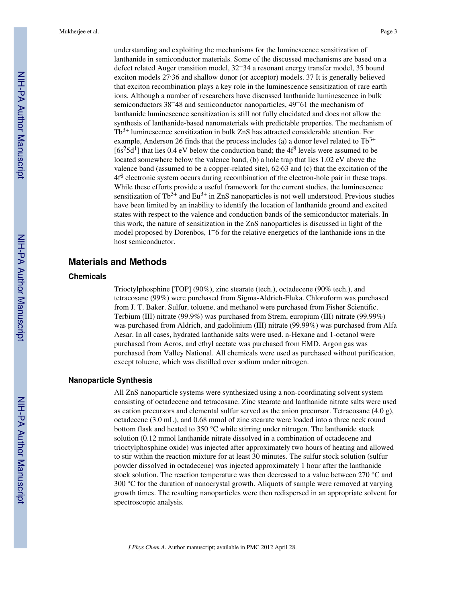understanding and exploiting the mechanisms for the luminescence sensitization of lanthanide in semiconductor materials. Some of the discussed mechanisms are based on a defect related Auger transition model, 32–34 a resonant energy transfer model, 35 bound exciton models 27,36 and shallow donor (or acceptor) models. 37 It is generally believed that exciton recombination plays a key role in the luminescence sensitization of rare earth ions. Although a number of researchers have discussed lanthanide luminescence in bulk semiconductors 38–48 and semiconductor nanoparticles, 49–61 the mechanism of lanthanide luminescence sensitization is still not fully elucidated and does not allow the synthesis of lanthanide-based nanomaterials with predictable properties. The mechanism of Tb3+ luminescence sensitization in bulk ZnS has attracted considerable attention. For example, Anderson 26 finds that the process includes (a) a donor level related to  $Tb^{3+}$ [ $6s<sup>2</sup>5d<sup>1</sup>$ ] that lies 0.4 eV below the conduction band; the 4 $f<sup>8</sup>$  levels were assumed to be located somewhere below the valence band, (b) a hole trap that lies 1.02 eV above the valence band (assumed to be a copper-related site),  $62.63$  and (c) that the excitation of the  $4f^8$  electronic system occurs during recombination of the electron-hole pair in these traps. While these efforts provide a useful framework for the current studies, the luminescence sensitization of  $Tb^{3+}$  and  $Eu^{3+}$  in ZnS nanoparticles is not well understood. Previous studies have been limited by an inability to identify the location of lanthanide ground and excited states with respect to the valence and conduction bands of the semiconductor materials. In this work, the nature of sensitization in the ZnS nanoparticles is discussed in light of the model proposed by Dorenbos, 1–6 for the relative energetics of the lanthanide ions in the host semiconductor.

# **Materials and Methods**

## **Chemicals**

Trioctylphosphine [TOP] (90%), zinc stearate (tech.), octadecene (90% tech.), and tetracosane (99%) were purchased from Sigma-Aldrich-Fluka. Chloroform was purchased from J. T. Baker. Sulfur, toluene, and methanol were purchased from Fisher Scientific. Terbium (III) nitrate (99.9%) was purchased from Strem, europium (III) nitrate (99.99%) was purchased from Aldrich, and gadolinium (III) nitrate (99.99%) was purchased from Alfa Aesar. In all cases, hydrated lanthanide salts were used. n-Hexane and 1-octanol were purchased from Acros, and ethyl acetate was purchased from EMD. Argon gas was purchased from Valley National. All chemicals were used as purchased without purification, except toluene, which was distilled over sodium under nitrogen.

## **Nanoparticle Synthesis**

All ZnS nanoparticle systems were synthesized using a non-coordinating solvent system consisting of octadecene and tetracosane. Zinc stearate and lanthanide nitrate salts were used as cation precursors and elemental sulfur served as the anion precursor. Tetracosane  $(4.0 \text{ g})$ , octadecene (3.0 mL), and 0.68 mmol of zinc stearate were loaded into a three neck round bottom flask and heated to 350 °C while stirring under nitrogen. The lanthanide stock solution (0.12 mmol lanthanide nitrate dissolved in a combination of octadecene and trioctylphosphine oxide) was injected after approximately two hours of heating and allowed to stir within the reaction mixture for at least 30 minutes. The sulfur stock solution (sulfur powder dissolved in octadecene) was injected approximately 1 hour after the lanthanide stock solution. The reaction temperature was then decreased to a value between 270 °C and 300 °C for the duration of nanocrystal growth. Aliquots of sample were removed at varying growth times. The resulting nanoparticles were then redispersed in an appropriate solvent for spectroscopic analysis.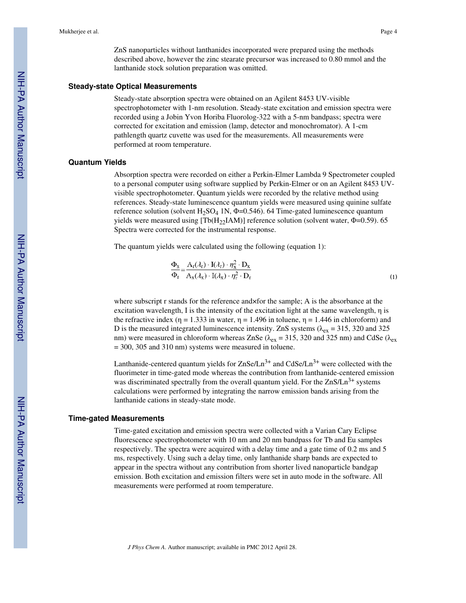ZnS nanoparticles without lanthanides incorporated were prepared using the methods described above, however the zinc stearate precursor was increased to 0.80 mmol and the lanthanide stock solution preparation was omitted.

#### **Steady-state Optical Measurements**

Steady-state absorption spectra were obtained on an Agilent 8453 UV-visible spectrophotometer with 1-nm resolution. Steady-state excitation and emission spectra were recorded using a Jobin Yvon Horiba Fluorolog-322 with a 5-nm bandpass; spectra were corrected for excitation and emission (lamp, detector and monochromator). A 1-cm pathlength quartz cuvette was used for the measurements. All measurements were performed at room temperature.

#### **Quantum Yields**

Absorption spectra were recorded on either a Perkin-Elmer Lambda 9 Spectrometer coupled to a personal computer using software supplied by Perkin-Elmer or on an Agilent 8453 UVvisible spectrophotometer. Quantum yields were recorded by the relative method using references. Steady-state luminescence quantum yields were measured using quinine sulfate reference solution (solvent H<sub>2</sub>SO<sub>4</sub> 1N,  $\Phi$ =0.546). 64 Time-gated luminescence quantum yields were measured using  $[Th(H<sub>22</sub>IAM)]$  reference solution (solvent water,  $\Phi$ =0.59). 65 Spectra were corrected for the instrumental response.

The quantum yields were calculated using the following (equation 1):

$$
\frac{\Phi_{\mathbf{x}}}{\Phi_{\mathbf{r}}} = \frac{\mathbf{A}_{\mathbf{r}}(\lambda_{\mathbf{r}}) \cdot \mathbf{I}(\lambda_{\mathbf{r}}) \cdot \eta_{\mathbf{x}}^2 \cdot \mathbf{D}_{\mathbf{x}}}{\mathbf{A}_{\mathbf{x}}(\lambda_{\mathbf{x}}) \cdot \mathbf{I}(\lambda_{\mathbf{x}}) \cdot \eta_{\mathbf{r}}^2 \cdot \mathbf{D}_{\mathbf{r}}}
$$
\n(1)

where subscript r stands for the reference and×for the sample; A is the absorbance at the excitation wavelength, I is the intensity of the excitation light at the same wavelength,  $\eta$  is the refractive index ( $\eta = 1.333$  in water,  $\eta = 1.496$  in toluene,  $\eta = 1.446$  in chloroform) and D is the measured integrated luminescence intensity. ZnS systems ( $\lambda_{ex}$  = 315, 320 and 325 nm) were measured in chloroform whereas ZnSe ( $\lambda_{ex}$  = 315, 320 and 325 nm) and CdSe ( $\lambda_{ex}$ = 300, 305 and 310 nm) systems were measured in toluene.

Lanthanide-centered quantum yields for  $ZnSe/Ln<sup>3+</sup>$  and  $CdSe/Ln<sup>3+</sup>$  were collected with the fluorimeter in time-gated mode whereas the contribution from lanthanide-centered emission was discriminated spectrally from the overall quantum yield. For the  $ZnS/Ln<sup>3+</sup>$  systems calculations were performed by integrating the narrow emission bands arising from the lanthanide cations in steady-state mode.

#### **Time-gated Measurements**

Time-gated excitation and emission spectra were collected with a Varian Cary Eclipse fluorescence spectrophotometer with 10 nm and 20 nm bandpass for Tb and Eu samples respectively. The spectra were acquired with a delay time and a gate time of 0.2 ms and 5 ms, respectively. Using such a delay time, only lanthanide sharp bands are expected to appear in the spectra without any contribution from shorter lived nanoparticle bandgap emission. Both excitation and emission filters were set in auto mode in the software. All measurements were performed at room temperature.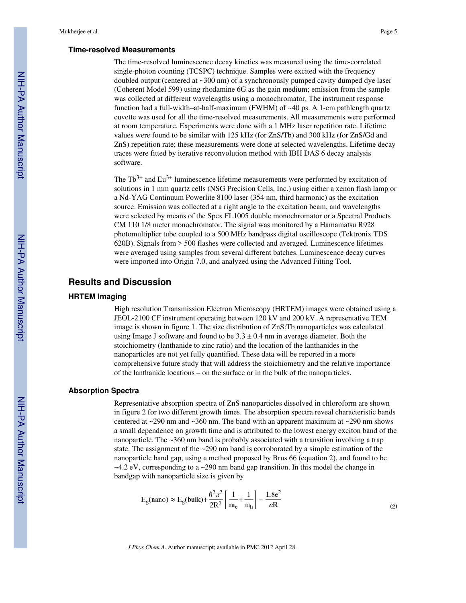#### **Time-resolved Measurements**

The time-resolved luminescence decay kinetics was measured using the time-correlated single-photon counting (TCSPC) technique. Samples were excited with the frequency doubled output (centered at ~300 nm) of a synchronously pumped cavity dumped dye laser (Coherent Model 599) using rhodamine 6G as the gain medium; emission from the sample was collected at different wavelengths using a monochromator. The instrument response function had a full-width–at-half-maximum (FWHM) of  $~40$  ps. A 1-cm pathlength quartz cuvette was used for all the time-resolved measurements. All measurements were performed at room temperature. Experiments were done with a 1 MHz laser repetition rate. Lifetime values were found to be similar with 125 kHz (for ZnS/Tb) and 300 kHz (for ZnS/Gd and ZnS) repetition rate; these measurements were done at selected wavelengths. Lifetime decay traces were fitted by iterative reconvolution method with IBH DAS 6 decay analysis software.

The  $Tb^{3+}$  and Eu<sup>3+</sup> luminescence lifetime measurements were performed by excitation of solutions in 1 mm quartz cells (NSG Precision Cells, Inc.) using either a xenon flash lamp or a Nd-YAG Continuum Powerlite 8100 laser (354 nm, third harmonic) as the excitation source. Emission was collected at a right angle to the excitation beam, and wavelengths were selected by means of the Spex FL1005 double monochromator or a Spectral Products CM 110 1/8 meter monochromator. The signal was monitored by a Hamamatsu R928 photomultiplier tube coupled to a 500 MHz bandpass digital oscilloscope (Tektronix TDS 620B). Signals from > 500 flashes were collected and averaged. Luminescence lifetimes were averaged using samples from several different batches. Luminescence decay curves were imported into Origin 7.0, and analyzed using the Advanced Fitting Tool.

# **Results and Discussion**

#### **HRTEM Imaging**

High resolution Transmission Electron Microscopy (HRTEM) images were obtained using a JEOL-2100 CF instrument operating between 120 kV and 200 kV. A representative TEM image is shown in figure 1. The size distribution of ZnS:Tb nanoparticles was calculated using Image J software and found to be  $3.3 \pm 0.4$  nm in average diameter. Both the stoichiometry (lanthanide to zinc ratio) and the location of the lanthanides in the nanoparticles are not yet fully quantified. These data will be reported in a more comprehensive future study that will address the stoichiometry and the relative importance of the lanthanide locations – on the surface or in the bulk of the nanoparticles.

#### **Absorption Spectra**

Representative absorption spectra of ZnS nanoparticles dissolved in chloroform are shown in figure 2 for two different growth times. The absorption spectra reveal characteristic bands centered at  $\sim$ 290 nm and  $\sim$ 360 nm. The band with an apparent maximum at  $\sim$ 290 nm shows a small dependence on growth time and is attributed to the lowest energy exciton band of the nanoparticle. The ~360 nm band is probably associated with a transition involving a trap state. The assignment of the ~290 nm band is corroborated by a simple estimation of the nanoparticle band gap, using a method proposed by Brus 66 (equation 2), and found to be ~4.2 eV, corresponding to a ~290 nm band gap transition. In this model the change in bandgap with nanoparticle size is given by

$$
E_g(nano) \approx E_g(bulk) + \frac{\hbar^2 \pi^2}{2R^2} \left[ \frac{1}{m_e} + \frac{1}{m_h} \right] - \frac{1.8e^2}{\varepsilon R}
$$
 (2)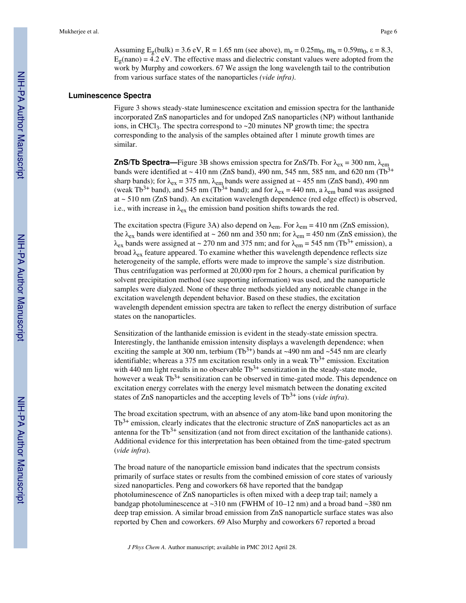Assuming  $E_g(bulk) = 3.6 \text{ eV}$ ,  $R = 1.65 \text{ nm}$  (see above),  $m_e = 0.25 m_0$ ,  $m_h = 0.59 m_0$ ,  $\epsilon = 8.3$ ,  $E_g$ (nano) = 4.2 eV. The effective mass and dielectric constant values were adopted from the work by Murphy and coworkers. 67 We assign the long wavelength tail to the contribution from various surface states of the nanoparticles *(vide infra)*.

## **Luminescence Spectra**

Figure 3 shows steady-state luminescence excitation and emission spectra for the lanthanide incorporated ZnS nanoparticles and for undoped ZnS nanoparticles (NP) without lanthanide ions, in CHCl<sub>3</sub>. The spectra correspond to  $\sim$  20 minutes NP growth time; the spectra corresponding to the analysis of the samples obtained after 1 minute growth times are similar.

**ZnS/Tb Spectra—**Figure 3B shows emission spectra for ZnS/Tb. For  $\lambda_{ex} = 300$  nm,  $\lambda_{em}$ bands were identified at  $\sim$  410 nm (ZnS band), 490 nm, 545 nm, 585 nm, and 620 nm (Tb<sup>3+</sup> sharp bands); for  $\lambda_{ex}$  = 375 nm,  $\lambda_{em}$  bands were assigned at ~ 455 nm (ZnS band), 490 nm (weak Tb<sup>3+</sup> band), and 545 nm (Tb<sup>3+</sup> band); and for  $\lambda_{ex} = 440$  nm, a  $\lambda_{em}$  band was assigned at ~ 510 nm (ZnS band). An excitation wavelength dependence (red edge effect) is observed, i.e., with increase in  $\lambda_{ex}$  the emission band position shifts towards the red.

The excitation spectra (Figure 3A) also depend on  $\lambda_{em}$ . For  $\lambda_{em} = 410$  nm (ZnS emission), the  $\lambda_{ex}$  bands were identified at ~ 260 nm and 350 nm; for  $\lambda_{em}$  = 450 nm (ZnS emission), the  $\lambda_{ex}$  bands were assigned at ~ 270 nm and 375 nm; and for  $\lambda_{em}$  = 545 nm (Tb<sup>3+</sup> emission), a broad  $\lambda_{ex}$  feature appeared. To examine whether this wavelength dependence reflects size heterogeneity of the sample, efforts were made to improve the sample's size distribution. Thus centrifugation was performed at 20,000 rpm for 2 hours, a chemical purification by solvent precipitation method (see supporting information) was used, and the nanoparticle samples were dialyzed. None of these three methods yielded any noticeable change in the excitation wavelength dependent behavior. Based on these studies, the excitation wavelength dependent emission spectra are taken to reflect the energy distribution of surface states on the nanoparticles.

Sensitization of the lanthanide emission is evident in the steady-state emission spectra. Interestingly, the lanthanide emission intensity displays a wavelength dependence; when exciting the sample at 300 nm, terbium  $(Tb^{3+})$  bands at ~490 nm and ~545 nm are clearly identifiable; whereas a 375 nm excitation results only in a weak  $Tb^{3+}$  emission. Excitation with 440 nm light results in no observable  $Tb^{3+}$  sensitization in the steady-state mode, however a weak  $Tb^{3+}$  sensitization can be observed in time-gated mode. This dependence on excitation energy correlates with the energy level mismatch between the donating excited states of ZnS nanoparticles and the accepting levels of Tb<sup>3+</sup> ions (*vide infra*).

The broad excitation spectrum, with an absence of any atom-like band upon monitoring the  $Tb^{3+}$  emission, clearly indicates that the electronic structure of ZnS nanoparticles act as an antenna for the  $Tb^{3+}$  sensitization (and not from direct excitation of the lanthanide cations). Additional evidence for this interpretation has been obtained from the time-gated spectrum (*vide infra*).

The broad nature of the nanoparticle emission band indicates that the spectrum consists primarily of surface states or results from the combined emission of core states of variously sized nanoparticles. Peng and coworkers 68 have reported that the bandgap photoluminescence of ZnS nanoparticles is often mixed with a deep trap tail; namely a bandgap photoluminescence at  $\sim$ 310 nm (FWHM of 10–12 nm) and a broad band  $\sim$ 380 nm deep trap emission. A similar broad emission from ZnS nanoparticle surface states was also reported by Chen and coworkers. 69 Also Murphy and coworkers 67 reported a broad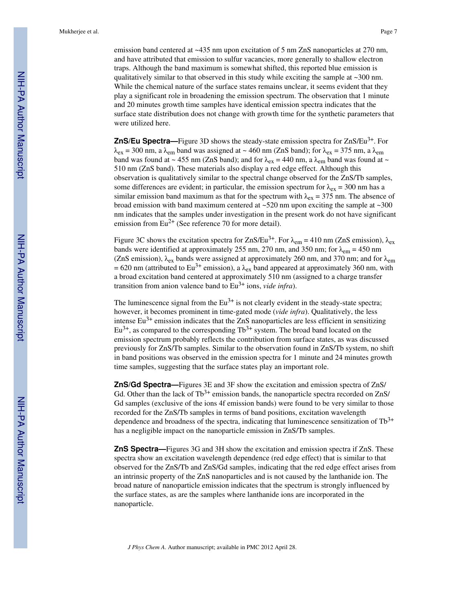emission band centered at  $\sim$ 435 nm upon excitation of 5 nm ZnS nanoparticles at 270 nm, and have attributed that emission to sulfur vacancies, more generally to shallow electron traps. Although the band maximum is somewhat shifted, this reported blue emission is qualitatively similar to that observed in this study while exciting the sample at  $\sim$ 300 nm. While the chemical nature of the surface states remains unclear, it seems evident that they play a significant role in broadening the emission spectrum. The observation that 1 minute and 20 minutes growth time samples have identical emission spectra indicates that the surface state distribution does not change with growth time for the synthetic parameters that were utilized here.

**ZnS/Eu Spectra—**Figure 3D shows the steady-state emission spectra for ZnS/Eu<sup>3+</sup>. For  $\lambda_{ex}$  = 300 nm, a  $\lambda_{em}$  band was assigned at ~ 460 nm (ZnS band); for  $\lambda_{ex}$  = 375 nm, a  $\lambda_{em}$ band was found at ~ 455 nm (ZnS band); and for  $\lambda_{ex}$  = 440 nm, a  $\lambda_{em}$  band was found at ~ 510 nm (ZnS band). These materials also display a red edge effect. Although this observation is qualitatively similar to the spectral change observed for the ZnS/Tb samples, some differences are evident; in particular, the emission spectrum for  $\lambda_{ex} = 300$  nm has a similar emission band maximum as that for the spectrum with  $\lambda_{ex} = 375$  nm. The absence of broad emission with band maximum centered at  $\sim$ 520 nm upon exciting the sample at  $\sim$ 300 nm indicates that the samples under investigation in the present work do not have significant emission from  $Eu^{2+}$  (See reference 70 for more detail).

Figure 3C shows the excitation spectra for ZnS/Eu<sup>3+</sup>. For  $\lambda_{em} = 410$  nm (ZnS emission),  $\lambda_{ex}$ bands were identified at approximately 255 nm, 270 nm, and 350 nm; for  $\lambda_{em} = 450$  nm (ZnS emission),  $\lambda_{ex}$  bands were assigned at approximately 260 nm, and 370 nm; and for  $\lambda_{em}$ = 620 nm (attributed to Eu<sup>3+</sup> emission), a  $\lambda_{ex}$  band appeared at approximately 360 nm, with a broad excitation band centered at approximately 510 nm (assigned to a charge transfer transition from anion valence band to Eu3+ ions, *vide infra*).

The luminescence signal from the  $Eu^{3+}$  is not clearly evident in the steady-state spectra; however, it becomes prominent in time-gated mode (*vide infra*). Qualitatively, the less intense  $Eu^{3+}$  emission indicates that the ZnS nanoparticles are less efficient in sensitizing  $Eu^{3+}$ , as compared to the corresponding  $Tb^{3+}$  system. The broad band located on the emission spectrum probably reflects the contribution from surface states, as was discussed previously for ZnS/Tb samples. Similar to the observation found in ZnS/Tb system, no shift in band positions was observed in the emission spectra for 1 minute and 24 minutes growth time samples, suggesting that the surface states play an important role.

**ZnS/Gd Spectra—**Figures 3E and 3F show the excitation and emission spectra of ZnS/ Gd. Other than the lack of  $Tb^{3+}$  emission bands, the nanoparticle spectra recorded on ZnS/ Gd samples (exclusive of the ions 4f emission bands) were found to be very similar to those recorded for the ZnS/Tb samples in terms of band positions, excitation wavelength dependence and broadness of the spectra, indicating that luminescence sensitization of  $Tb^{3+}$ has a negligible impact on the nanoparticle emission in ZnS/Tb samples.

**ZnS Spectra—**Figures 3G and 3H show the excitation and emission spectra if ZnS. These spectra show an excitation wavelength dependence (red edge effect) that is similar to that observed for the ZnS/Tb and ZnS/Gd samples, indicating that the red edge effect arises from an intrinsic property of the ZnS nanoparticles and is not caused by the lanthanide ion. The broad nature of nanoparticle emission indicates that the spectrum is strongly influenced by the surface states, as are the samples where lanthanide ions are incorporated in the nanoparticle.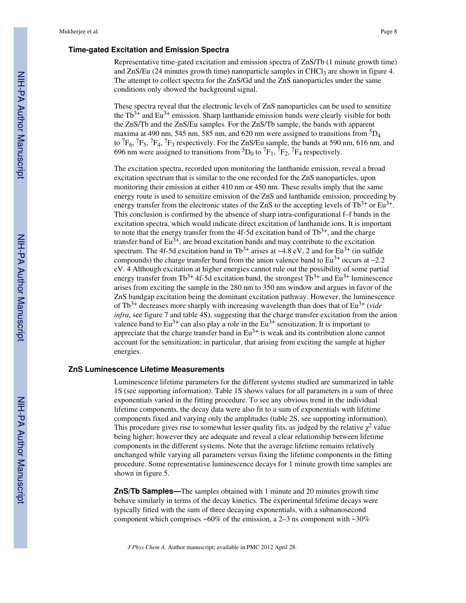## **Time-gated Excitation and Emission Spectra**

Representative time-gated excitation and emission spectra of ZnS/Tb (1 minute growth time) and ZnS/Eu (24 minutes growth time) nanoparticle samples in CHCl<sub>3</sub> are shown in figure 4. The attempt to collect spectra for the ZnS/Gd and the ZnS nanoparticles under the same conditions only showed the background signal.

These spectra reveal that the electronic levels of ZnS nanoparticles can be used to sensitize the  $Tb^{3+}$  and Eu<sup>3+</sup> emission. Sharp lanthanide emission bands were clearly visible for both the ZnS/Tb and the ZnS/Eu samples. For the ZnS/Tb sample, the bands with apparent maxima at 490 nm, 545 nm, 585 nm, and 620 nm were assigned to transitions from  ${}^{5}D_4$ to  ${}^{7}F_{6}$ ,  ${}^{7}F_{5}$ ,  ${}^{7}F_{4}$ ,  ${}^{7}F_{3}$  respectively. For the ZnS/Eu sample, the bands at 590 nm, 616 nm, and 696 nm were assigned to transitions from  ${}^{5}D_0$  to  ${}^{7}F_1$ ,  ${}^{7}F_2$ ,  ${}^{7}F_4$  respectively.

The excitation spectra, recorded upon monitoring the lanthanide emission, reveal a broad excitation spectrum that is similar to the one recorded for the ZnS nanoparticles, upon monitoring their emission at either 410 nm or 450 nm. These results imply that the same energy route is used to sensitize emission of the ZnS and lanthanide emission, proceeding by energy transfer from the electronic states of the ZnS to the accepting levels of  $Tb^{3+}$  or Eu<sup>3+</sup>. This conclusion is confirmed by the absence of sharp intra-configurational f–f bands in the excitation spectra, which would indicate direct excitation of lanthanide ions. It is important to note that the energy transfer from the 4f-5d excitation band of  $Tb^{3+}$ , and the charge transfer band of  $Eu^{3+}$ , are broad excitation bands and may contribute to the excitation spectrum. The 4f-5d excitation band in Tb<sup>3+</sup> arises at ~4.8 eV, 2 and for Eu<sup>3+</sup> (in sulfide compounds) the charge transfer band from the anion valence band to  $Eu^{3+}$  occurs at  $\sim$ 2.2 eV. 4 Although excitation at higher energies cannot rule out the possibility of some partial energy transfer from Tb<sup>3+</sup> 4f-5d excitation band, the strongest  $Tb^{3+}$  and  $Eu^{3+}$  luminescence arises from exciting the sample in the 280 nm to 350 nm window and argues in favor of the ZnS bandgap excitation being the dominant excitation pathway. However, the luminescence of Tb3+ decreases more sharply with increasing wavelength than does that of Eu3+ (*vide infra*, see figure 7 and table 4S), suggesting that the charge transfer excitation from the anion valence band to  $Eu^{3+}$  can also play a role in the  $Eu^{3+}$  sensitization. It is important to appreciate that the charge transfer band in  $Eu^{3+}$  is weak and its contribution alone cannot account for the sensitization; in particular, that arising from exciting the sample at higher energies.

#### **ZnS Luminescence Lifetime Measurements**

Luminescence lifetime parameters for the different systems studied are summarized in table 1S (see supporting information). Table 1S shows values for all parameters in a sum of three exponentials varied in the fitting procedure. To see any obvious trend in the individual lifetime components, the decay data were also fit to a sum of exponentials with lifetime components fixed and varying only the amplitudes (table 2S, see supporting information). This procedure gives rise to somewhat lesser quality fits, as judged by the relative  $\chi^2$  value being higher; however they are adequate and reveal a clear relationship between lifetime components in the different systems. Note that the average lifetime remains relatively unchanged while varying all parameters versus fixing the lifetime components in the fitting procedure. Some representative luminescence decays for 1 minute growth time samples are shown in figure 5.

**ZnS/Tb Samples—**The samples obtained with 1 minute and 20 minutes growth time behave similarly in terms of the decay kinetics. The experimental lifetime decays were typically fitted with the sum of three decaying exponentials, with a subnanosecond component which comprises  $~60\%$  of the emission, a 2–3 ns component with  $~30\%$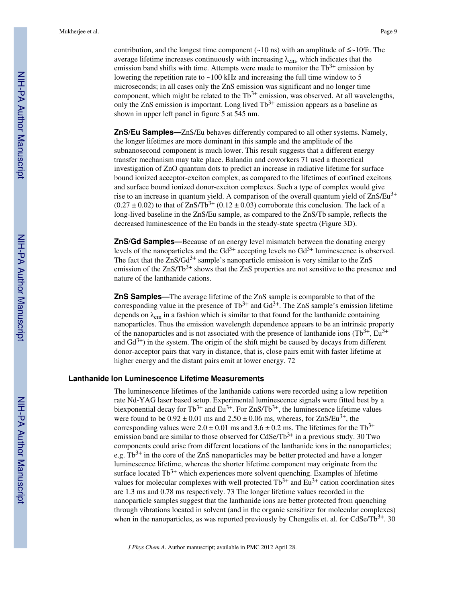contribution, and the longest time component ( $\sim$ 10 ns) with an amplitude of  $\leq \sim$ 10%. The average lifetime increases continuously with increasing  $\lambda_{\text{em}}$ , which indicates that the emission band shifts with time. Attempts were made to monitor the  $Tb^{3+}$  emission by lowering the repetition rate to ~100 kHz and increasing the full time window to 5 microseconds; in all cases only the ZnS emission was significant and no longer time component, which might be related to the  $Tb^{3+}$  emission, was observed. At all wavelengths, only the ZnS emission is important. Long lived  $Tb^{3+}$  emission appears as a baseline as shown in upper left panel in figure 5 at 545 nm.

**ZnS/Eu Samples—**ZnS/Eu behaves differently compared to all other systems. Namely, the longer lifetimes are more dominant in this sample and the amplitude of the subnanosecond component is much lower. This result suggests that a different energy transfer mechanism may take place. Balandin and coworkers 71 used a theoretical investigation of ZnO quantum dots to predict an increase in radiative lifetime for surface bound ionized acceptor-exciton complex, as compared to the lifetimes of confined excitons and surface bound ionized donor-exciton complexes. Such a type of complex would give rise to an increase in quantum yield. A comparison of the overall quantum yield of  $ZnS/Eu<sup>3+</sup>$  $(0.27 \pm 0.02)$  to that of ZnS/Tb<sup>3+</sup>  $(0.12 \pm 0.03)$  corroborate this conclusion. The lack of a long-lived baseline in the ZnS/Eu sample, as compared to the ZnS/Tb sample, reflects the decreased luminescence of the Eu bands in the steady-state spectra (Figure 3D).

**ZnS/Gd Samples—**Because of an energy level mismatch between the donating energy levels of the nanoparticles and the  $Gd^{3+}$  accepting levels no  $Gd^{3+}$  luminescence is observed. The fact that the  $\text{ZnS/Gd}^{3+}$  sample's nanoparticle emission is very similar to the  $\text{ZnS}$ emission of the  $ZnSTb^{3+}$  shows that the  $ZnS$  properties are not sensitive to the presence and nature of the lanthanide cations.

**ZnS Samples—**The average lifetime of the ZnS sample is comparable to that of the corresponding value in the presence of  $Tb^{3+}$  and  $Gd^{3+}$ . The ZnS sample's emission lifetime depends on  $\lambda_{em}$  in a fashion which is similar to that found for the lanthanide containing nanoparticles. Thus the emission wavelength dependence appears to be an intrinsic property of the nanoparticles and is not associated with the presence of lanthanide ions  $(Tb^{3+}, Eu^{3+})$ and  $Gd^{3+}$ ) in the system. The origin of the shift might be caused by decays from different donor-acceptor pairs that vary in distance, that is, close pairs emit with faster lifetime at higher energy and the distant pairs emit at lower energy. 72

#### **Lanthanide Ion Luminescence Lifetime Measurements**

The luminescence lifetimes of the lanthanide cations were recorded using a low repetition rate Nd-YAG laser based setup. Experimental luminescence signals were fitted best by a biexponential decay for Tb<sup>3+</sup> and Eu<sup>3+</sup>. For ZnS/Tb<sup>3+</sup>, the luminescence lifetime values were found to be  $0.92 \pm 0.01$  ms and  $2.50 \pm 0.06$  ms, whereas, for  $\text{ZnS/Eu}^{3+}$ , the corresponding values were  $2.0 \pm 0.01$  ms and  $3.6 \pm 0.2$  ms. The lifetimes for the Tb<sup>3+</sup> emission band are similar to those observed for  $CdSe/Tb^{3+}$  in a previous study. 30 Two components could arise from different locations of the lanthanide ions in the nanoparticles; e.g.  $Tb^{3+}$  in the core of the ZnS nanoparticles may be better protected and have a longer luminescence lifetime, whereas the shorter lifetime component may originate from the surface located  $Tb^{3+}$  which experiences more solvent quenching. Examples of lifetime values for molecular complexes with well protected  $Tb^{3+}$  and  $Eu^{3+}$  cation coordination sites are 1.3 ms and 0.78 ms respectively. 73 The longer lifetime values recorded in the nanoparticle samples suggest that the lanthanide ions are better protected from quenching through vibrations located in solvent (and in the organic sensitizer for molecular complexes) when in the nanoparticles, as was reported previously by Chengelis et. al. for  $CdSe/Tb^{3+}$ . 30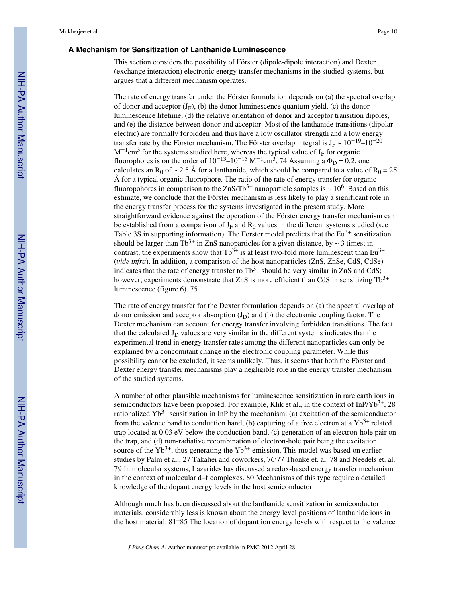#### **A Mechanism for Sensitization of Lanthanide Luminescence**

This section considers the possibility of Förster (dipole-dipole interaction) and Dexter (exchange interaction) electronic energy transfer mechanisms in the studied systems, but argues that a different mechanism operates.

The rate of energy transfer under the Förster formulation depends on (a) the spectral overlap of donor and acceptor  $(J_F)$ , (b) the donor luminescence quantum yield, (c) the donor luminescence lifetime, (d) the relative orientation of donor and acceptor transition dipoles, and (e) the distance between donor and acceptor. Most of the lanthanide transitions (dipolar electric) are formally forbidden and thus have a low oscillator strength and a low energy transfer rate by the Förster mechanism. The Förster overlap integral is J<sub>F</sub> ~  $10^{-19}$ – $10^{-20}$  $M^{-1}$ cm<sup>3</sup> for the systems studied here, whereas the typical value of J<sub>F</sub> for organic fluorophores is on the order of  $10^{-13}$ – $10^{-15}$  M<sup>-1</sup>cm<sup>3</sup>. 74 Assuming a  $\Phi_{\text{D}} = 0.2$ , one calculates an R<sub>0</sub> of  $\sim$  2.5 Å for a lanthanide, which should be compared to a value of R<sub>0</sub> = 25 Å for a typical organic fluorophore. The ratio of the rate of energy transfer for organic fluoropohores in comparison to the ZnS/Tb<sup>3+</sup> nanoparticle samples is  $\sim 10^6$ . Based on this estimate, we conclude that the Förster mechanism is less likely to play a significant role in the energy transfer process for the systems investigated in the present study. More straightforward evidence against the operation of the Förster energy transfer mechanism can be established from a comparison of  $J_F$  and  $R_0$  values in the different systems studied (see Table 3S in supporting information). The Förster model predicts that the  $Eu^{3+}$  sensitization should be larger than Tb<sup>3+</sup> in ZnS nanoparticles for a given distance, by  $\sim$  3 times: in contrast, the experiments show that  $Tb^{3+}$  is at least two-fold more luminescent than Eu<sup>3+</sup> (*vide infra*). In addition, a comparison of the host nanoparticles (ZnS, ZnSe, CdS, CdSe) indicates that the rate of energy transfer to  $Tb^{3+}$  should be very similar in ZnS and CdS; however, experiments demonstrate that ZnS is more efficient than CdS in sensitizing  $Tb^{3+}$ luminescence (figure 6). 75

The rate of energy transfer for the Dexter formulation depends on (a) the spectral overlap of donor emission and acceptor absorption  $(J_D)$  and (b) the electronic coupling factor. The Dexter mechanism can account for energy transfer involving forbidden transitions. The fact that the calculated  $J<sub>D</sub>$  values are very similar in the different systems indicates that the experimental trend in energy transfer rates among the different nanoparticles can only be explained by a concomitant change in the electronic coupling parameter. While this possibility cannot be excluded, it seems unlikely. Thus, it seems that both the Förster and Dexter energy transfer mechanisms play a negligible role in the energy transfer mechanism of the studied systems.

A number of other plausible mechanisms for luminescence sensitization in rare earth ions in semiconductors have been proposed. For example, Klik et al., in the context of InP/Yb<sup>3+</sup>, 28 rationalized  $Yb^{3+}$  sensitization in InP by the mechanism: (a) excitation of the semiconductor from the valence band to conduction band, (b) capturing of a free electron at a  $Yb^{3+}$  related trap located at 0.03 eV below the conduction band, (c) generation of an electron-hole pair on the trap, and (d) non-radiative recombination of electron-hole pair being the excitation source of the  $Yb^{3+}$ , thus generating the  $Yb^{3+}$  emission. This model was based on earlier studies by Palm et al., 27 Takahei and coworkers, 76.77 Thonke et. al. 78 and Needels et. al. 79 In molecular systems, Lazarides has discussed a redox-based energy transfer mechanism in the context of molecular d–f complexes. 80 Mechanisms of this type require a detailed knowledge of the dopant energy levels in the host semiconductor.

Although much has been discussed about the lanthanide sensitization in semiconductor materials, considerably less is known about the energy level positions of lanthanide ions in the host material. 81–85 The location of dopant ion energy levels with respect to the valence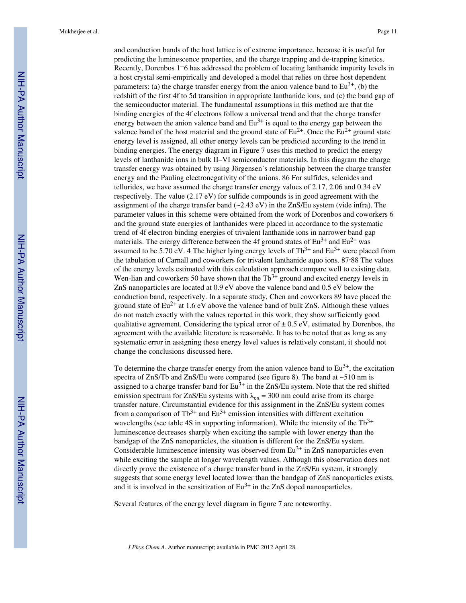and conduction bands of the host lattice is of extreme importance, because it is useful for predicting the luminescence properties, and the charge trapping and de-trapping kinetics. Recently, Dorenbos 1–6 has addressed the problem of locating lanthanide impurity levels in a host crystal semi-empirically and developed a model that relies on three host dependent parameters: (a) the charge transfer energy from the anion valence band to  $Eu^{3+}$ , (b) the redshift of the first 4f to 5d transition in appropriate lanthanide ions, and (c) the band gap of the semiconductor material. The fundamental assumptions in this method are that the binding energies of the 4f electrons follow a universal trend and that the charge transfer energy between the anion valence band and  $Eu<sup>3+</sup>$  is equal to the energy gap between the valence band of the host material and the ground state of  $Eu^{2+}$ . Once the  $Eu^{2+}$  ground state energy level is assigned, all other energy levels can be predicted according to the trend in binding energies. The energy diagram in Figure 7 uses this method to predict the energy levels of lanthanide ions in bulk II–VI semiconductor materials. In this diagram the charge transfer energy was obtained by using Jörgensen's relationship between the charge transfer energy and the Pauling electronegativity of the anions. 86 For sulfides, selenides and tellurides, we have assumed the charge transfer energy values of 2.17, 2.06 and 0.34 eV respectively. The value (2.17 eV) for sulfide compounds is in good agreement with the assignment of the charge transfer band (~2.43 eV) in the ZnS/Eu system (vide infra). The parameter values in this scheme were obtained from the work of Dorenbos and coworkers 6 and the ground state energies of lanthanides were placed in accordance to the systematic trend of 4f electron binding energies of trivalent lanthanide ions in narrower band gap materials. The energy difference between the 4f ground states of  $Eu^{3+}$  and  $Eu^{2+}$  was assumed to be 5.70 eV. 4 The higher lying energy levels of  $Tb^{3+}$  and  $Eu^{3+}$  were placed from the tabulation of Carnall and coworkers for trivalent lanthanide aquo ions. 87,88 The values of the energy levels estimated with this calculation approach compare well to existing data. Wen-lian and coworkers 50 have shown that the  $Tb^{3+}$  ground and excited energy levels in ZnS nanoparticles are located at 0.9 eV above the valence band and 0.5 eV below the conduction band, respectively. In a separate study, Chen and coworkers 89 have placed the ground state of  $Eu^{2+}$  at 1.6 eV above the valence band of bulk ZnS. Although these values do not match exactly with the values reported in this work, they show sufficiently good qualitative agreement. Considering the typical error of  $\pm$  0.5 eV, estimated by Dorenbos, the agreement with the available literature is reasonable. It has to be noted that as long as any systematic error in assigning these energy level values is relatively constant, it should not change the conclusions discussed here.

To determine the charge transfer energy from the anion valence band to  $Eu^{3+}$ , the excitation spectra of ZnS/Tb and ZnS/Eu were compared (see figure 8). The band at ~510 nm is assigned to a charge transfer band for  $Eu^{3+}$  in the ZnS/Eu system. Note that the red shifted emission spectrum for ZnS/Eu systems with  $\lambda_{ex} = 300$  nm could arise from its charge transfer nature. Circumstantial evidence for this assignment in the ZnS/Eu system comes from a comparison of  $Tb^{3+}$  and  $Eu^{3+}$  emission intensities with different excitation wavelengths (see table 4S in supporting information). While the intensity of the  $Tb^{3+}$ luminescence decreases sharply when exciting the sample with lower energy than the bandgap of the ZnS nanoparticles, the situation is different for the ZnS/Eu system. Considerable luminescence intensity was observed from  $Eu<sup>3+</sup>$  in ZnS nanoparticles even while exciting the sample at longer wavelength values. Although this observation does not directly prove the existence of a charge transfer band in the ZnS/Eu system, it strongly suggests that some energy level located lower than the bandgap of ZnS nanoparticles exists, and it is involved in the sensitization of  $Eu^{3+}$  in the ZnS doped nanoaparticles.

Several features of the energy level diagram in figure 7 are noteworthy.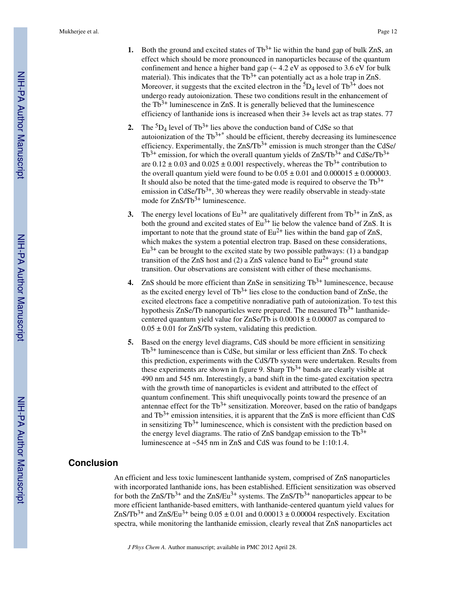- **1.** Both the ground and excited states of  $Tb^{3+}$  lie within the band gap of bulk ZnS, an effect which should be more pronounced in nanoparticles because of the quantum confinement and hence a higher band gap (~ 4.2 eV as opposed to 3.6 eV for bulk material). This indicates that the  $Tb^{3+}$  can potentially act as a hole trap in ZnS. Moreover, it suggests that the excited electron in the  ${}^{5}D_4$  level of Tb<sup>3+</sup> does not undergo ready autoionization. These two conditions result in the enhancement of the  $Tb^{3+}$  luminescence in ZnS. It is generally believed that the luminescence efficiency of lanthanide ions is increased when their 3+ levels act as trap states. 77
- **2.** The  ${}^5D_4$  level of Tb<sup>3+</sup> lies above the conduction band of CdSe so that autoionization of the  $Tb^{3+*}$  should be efficient, thereby decreasing its luminescence efficiency. Experimentally, the  $ZnS/Tb^{3+}$  emission is much stronger than the CdSe/  $Tb^{3+}$  emission, for which the overall quantum yields of ZnS/Tb<sup>3+</sup> and CdSe/Tb<sup>3+</sup> are  $0.12 \pm 0.03$  and  $0.025 \pm 0.001$  respectively, whereas the Tb<sup>3+</sup> contribution to the overall quantum yield were found to be  $0.05 \pm 0.01$  and  $0.000015 \pm 0.000003$ . It should also be noted that the time-gated mode is required to observe the  $\text{Th}^{3+}$ emission in CdSe/Tb<sup>3+</sup>, 30 whereas they were readily observable in steady-state mode for  $ZnS/Tb^{3+}$  luminescence.
- **3.** The energy level locations of  $Eu^{3+}$  are qualitatively different from  $Tb^{3+}$  in ZnS, as both the ground and excited states of  $Eu^{3+}$  lie below the valence band of ZnS. It is important to note that the ground state of  $Eu^{2+}$  lies within the band gap of ZnS, which makes the system a potential electron trap. Based on these considerations,  $Eu^{3+}$  can be brought to the excited state by two possible pathways: (1) a bandgap transition of the ZnS host and (2) a ZnS valence band to  $Eu^{2+}$  ground state transition. Our observations are consistent with either of these mechanisms.
- **4.** ZnS should be more efficient than ZnSe in sensitizing  $Tb^{3+}$  luminescence, because as the excited energy level of  $Tb^{3+}$  lies close to the conduction band of ZnSe, the excited electrons face a competitive nonradiative path of autoionization. To test this hypothesis ZnSe/Tb nanoparticles were prepared. The measured  $Tb^{3+}$  lanthanidecentered quantum yield value for ZnSe/Tb is  $0.00018 \pm 0.00007$  as compared to  $0.05 \pm 0.01$  for ZnS/Tb system, validating this prediction.
- **5.** Based on the energy level diagrams, CdS should be more efficient in sensitizing  $Tb^{3+}$  luminescence than is CdSe, but similar or less efficient than ZnS. To check this prediction, experiments with the CdS/Tb system were undertaken. Results from these experiments are shown in figure 9. Sharp  $Tb^{3+}$  bands are clearly visible at 490 nm and 545 nm. Interestingly, a band shift in the time-gated excitation spectra with the growth time of nanoparticles is evident and attributed to the effect of quantum confinement. This shift unequivocally points toward the presence of an antennae effect for the  $Tb^{3+}$  sensitization. Moreover, based on the ratio of bandgaps and  $Tb^{3+}$  emission intensities, it is apparent that the ZnS is more efficient than CdS in sensitizing  $Tb^{3+}$  luminescence, which is consistent with the prediction based on the energy level diagrams. The ratio of ZnS bandgap emission to the  $\text{Th}^{3+}$ luminescence at ~545 nm in ZnS and CdS was found to be 1:10:1.4.

# **Conclusion**

An efficient and less toxic luminescent lanthanide system, comprised of ZnS nanoparticles with incorporated lanthanide ions, has been established. Efficient sensitization was observed for both the  $ZnS/Tb^{3+}$  and the  $ZnS/Eu^{3+}$  systems. The  $ZnS/Tb^{3+}$  nanoparticles appear to be more efficient lanthanide-based emitters, with lanthanide-centered quantum yield values for  $ZnSTb<sup>3+</sup>$  and  $ZnS/Eu<sup>3+</sup>$  being  $0.05 \pm 0.01$  and  $0.00013 \pm 0.00004$  respectively. Excitation spectra, while monitoring the lanthanide emission, clearly reveal that ZnS nanoparticles act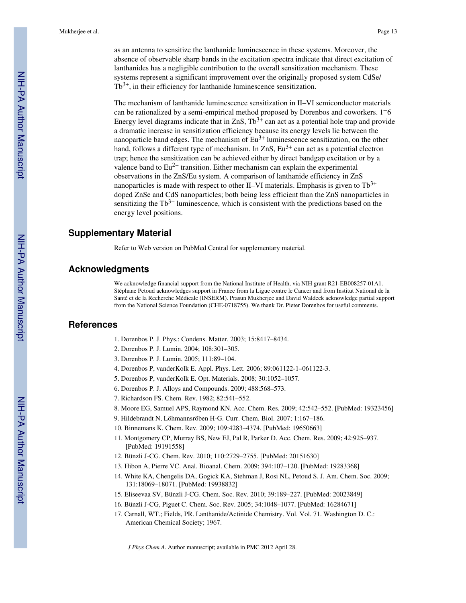as an antenna to sensitize the lanthanide luminescence in these systems. Moreover, the absence of observable sharp bands in the excitation spectra indicate that direct excitation of lanthanides has a negligible contribution to the overall sensitization mechanism. These systems represent a significant improvement over the originally proposed system CdSe/  $Tb^{3+}$ , in their efficiency for lanthanide luminescence sensitization.

The mechanism of lanthanide luminescence sensitization in II–VI semiconductor materials can be rationalized by a semi-empirical method proposed by Dorenbos and coworkers. 1–6 Energy level diagrams indicate that in ZnS,  $Tb^{3+}$  can act as a potential hole trap and provide a dramatic increase in sensitization efficiency because its energy levels lie between the nanoparticle band edges. The mechanism of  $Eu<sup>3+</sup>$  luminescence sensitization, on the other hand, follows a different type of mechanism. In  $ZnS$ ,  $Eu^{3+}$  can act as a potential electron trap; hence the sensitization can be achieved either by direct bandgap excitation or by a valence band to  $Eu^{2+}$  transition. Either mechanism can explain the experimental observations in the ZnS/Eu system. A comparison of lanthanide efficiency in ZnS nanoparticles is made with respect to other II–VI materials. Emphasis is given to  $Tb^{3+}$ doped ZnSe and CdS nanoparticles; both being less efficient than the ZnS nanoparticles in sensitizing the  $Tb^{3+}$  luminescence, which is consistent with the predictions based on the energy level positions.

# **Supplementary Material**

Refer to Web version on PubMed Central for supplementary material.

# **Acknowledgments**

We acknowledge financial support from the National Institute of Health, via NIH grant R21-EB008257-01A1. Stéphane Petoud acknowledges support in France from la Ligue contre le Cancer and from Institut National de la Santé et de la Recherche Médicale (INSERM). Prasun Mukherjee and David Waldeck acknowledge partial support from the National Science Foundation (CHE-0718755). We thank Dr. Pieter Dorenbos for useful comments.

# **References**

- 1. Dorenbos P. J. Phys.: Condens. Matter. 2003; 15:8417–8434.
- 2. Dorenbos P. J. Lumin. 2004; 108:301–305.
- 3. Dorenbos P. J. Lumin. 2005; 111:89–104.
- 4. Dorenbos P, vanderKolk E. Appl. Phys. Lett. 2006; 89:061122-1–061122-3.
- 5. Dorenbos P, vanderKolk E. Opt. Materials. 2008; 30:1052–1057.
- 6. Dorenbos P. J. Alloys and Compounds. 2009; 488:568–573.
- 7. Richardson FS. Chem. Rev. 1982; 82:541–552.
- 8. Moore EG, Samuel APS, Raymond KN. Acc. Chem. Res. 2009; 42:542–552. [PubMed: 19323456]
- 9. Hildebrandt N, Löhmannsröben H-G. Curr. Chem. Biol. 2007; 1:167–186.
- 10. Binnemans K. Chem. Rev. 2009; 109:4283–4374. [PubMed: 19650663]
- 11. Montgomery CP, Murray BS, New EJ, Pal R, Parker D. Acc. Chem. Res. 2009; 42:925–937. [PubMed: 19191558]
- 12. Bünzli J-CG. Chem. Rev. 2010; 110:2729–2755. [PubMed: 20151630]
- 13. Hibon A, Pierre VC. Anal. Bioanal. Chem. 2009; 394:107–120. [PubMed: 19283368]
- 14. White KA, Chengelis DA, Gogick KA, Stehman J, Rosi NL, Petoud S. J. Am. Chem. Soc. 2009; 131:18069–18071. [PubMed: 19938832]
- 15. Eliseevaa SV, Bünzli J-CG. Chem. Soc. Rev. 2010; 39:189–227. [PubMed: 20023849]
- 16. Bünzli J-CG, Piguet C. Chem. Soc. Rev. 2005; 34:1048–1077. [PubMed: 16284671]
- 17. Carnall, WT.; Fields, PR. Lanthanide/Actinide Chemistry. Vol. Vol. 71. Washington D. C.: American Chemical Society; 1967.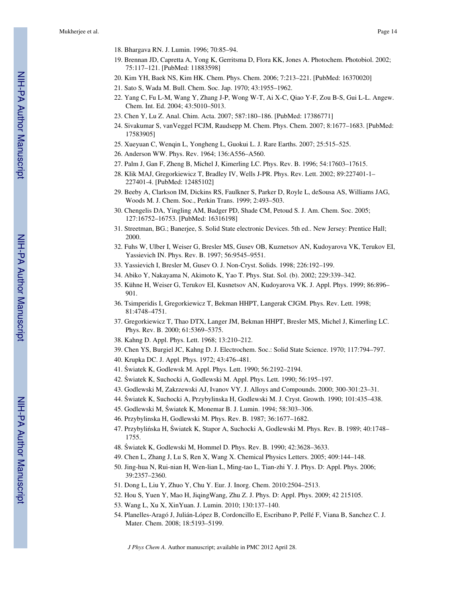- 18. Bhargava RN. J. Lumin. 1996; 70:85–94.
- 19. Brennan JD, Capretta A, Yong K, Gerritsma D, Flora KK, Jones A. Photochem. Photobiol. 2002; 75:117–121. [PubMed: 11883598]
- 20. Kim YH, Baek NS, Kim HK. Chem. Phys. Chem. 2006; 7:213–221. [PubMed: 16370020]
- 21. Sato S, Wada M. Bull. Chem. Soc. Jap. 1970; 43:1955–1962.
- 22. Yang C, Fu L-M, Wang Y, Zhang J-P, Wong W-T, Ai X-C, Qiao Y-F, Zou B-S, Gui L-L. Angew. Chem. Int. Ed. 2004; 43:5010–5013.
- 23. Chen Y, Lu Z. Anal. Chim. Acta. 2007; 587:180–186. [PubMed: 17386771]
- 24. Sivakumar S, vanVeggel FCJM, Raudsepp M. Chem. Phys. Chem. 2007; 8:1677–1683. [PubMed: 17583905]
- 25. Xueyuan C, Wenqin L, Yongheng L, Guokui L. J. Rare Earths. 2007; 25:515–525.
- 26. Anderson WW. Phys. Rev. 1964; 136:A556–A560.
- 27. Palm J, Gan F, Zheng B, Michel J, Kimerling LC. Phys. Rev. B. 1996; 54:17603–17615.
- 28. Klik MAJ, Gregorkiewicz T, Bradley IV, Wells J-PR. Phys. Rev. Lett. 2002; 89:227401-1– 227401-4. [PubMed: 12485102]
- 29. Beeby A, Clarkson IM, Dickins RS, Faulkner S, Parker D, Royle L, deSousa AS, Williams JAG, Woods M. J. Chem. Soc., Perkin Trans. 1999; 2:493–503.
- 30. Chengelis DA, Yingling AM, Badger PD, Shade CM, Petoud S. J. Am. Chem. Soc. 2005; 127:16752–16753. [PubMed: 16316198]
- 31. Streetman, BG.; Banerjee, S. Solid State electronic Devices. 5th ed.. New Jersey: Prentice Hall; 2000.
- 32. Fuhs W, Ulber I, Weiser G, Bresler MS, Gusev OB, Kuznetsov AN, Kudoyarova VK, Terukov EI, Yassievich IN. Phys. Rev. B. 1997; 56:9545–9551.
- 33. Yassievich I, Bresler M, Gusev O. J. Non-Cryst. Solids. 1998; 226:192–199.
- 34. Abiko Y, Nakayama N, Akimoto K, Yao T. Phys. Stat. Sol. (b). 2002; 229:339–342.
- 35. Kühne H, Weiser G, Terukov EI, Kusnetsov AN, Kudoyarova VK. J. Appl. Phys. 1999; 86:896– 901.
- 36. Tsimperidis I, Gregorkiewicz T, Bekman HHPT, Langerak CJGM. Phys. Rev. Lett. 1998; 81:4748–4751.
- 37. Gregorkiewicz T, Thao DTX, Langer JM, Bekman HHPT, Bresler MS, Michel J, Kimerling LC. Phys. Rev. B. 2000; 61:5369–5375.
- 38. Kahng D. Appl. Phys. Lett. 1968; 13:210–212.
- 39. Chen YS, Burgiel JC, Kahng D. J. Electrochem. Soc.: Solid State Science. 1970; 117:794–797.
	- 40. Krupka DC. J. Appl. Phys. 1972; 43:476–481.
	- 41. Światek K, Godlewsk M. Appl. Phys. Lett. 1990; 56:2192–2194.
	- 42. Światek K, Suchocki A, Godlewski M. Appl. Phys. Lett. 1990; 56:195–197.
	- 43. Godlewski M, Zakrzewski AJ, Ivanov VY. J. Alloys and Compounds. 2000; 300-301:23–31.
- 44. Światek K, Suchocki A, Przybylinska H, Godlewski M. J. Cryst. Growth. 1990; 101:435–438.
- 45. Godlewski M, Światek K, Monemar B. J. Lumin. 1994; 58:303–306.
- 46. Przybylinska H, Godlewski M. Phys. Rev. B. 1987; 36:1677–1682.
- 47. Przybylińska H, Światek K, Stapor A, Suchocki A, Godlewski M. Phys. Rev. B. 1989; 40:1748– 1755.
- 48. Światek K, Godlewski M, Hommel D. Phys. Rev. B. 1990; 42:3628–3633.
- 49. Chen L, Zhang J, Lu S, Ren X, Wang X. Chemical Physics Letters. 2005; 409:144–148.
- 50. Jing-hua N, Rui-nian H, Wen-lian L, Ming-tao L, Tian-zhi Y. J. Phys. D: Appl. Phys. 2006; 39:2357–2360.
- 51. Dong L, Liu Y, Zhuo Y, Chu Y. Eur. J. Inorg. Chem. 2010:2504–2513.
- 52. Hou S, Yuen Y, Mao H, JiqingWang, Zhu Z. J. Phys. D: Appl. Phys. 2009; 42 215105.
- 53. Wang L, Xu X, XinYuan. J. Lumin. 2010; 130:137–140.
- 54. Planelles-Aragó J, Julián-López B, Cordoncillo E, Escribano P, Pellé F, Viana B, Sanchez C. J. Mater. Chem. 2008; 18:5193–5199.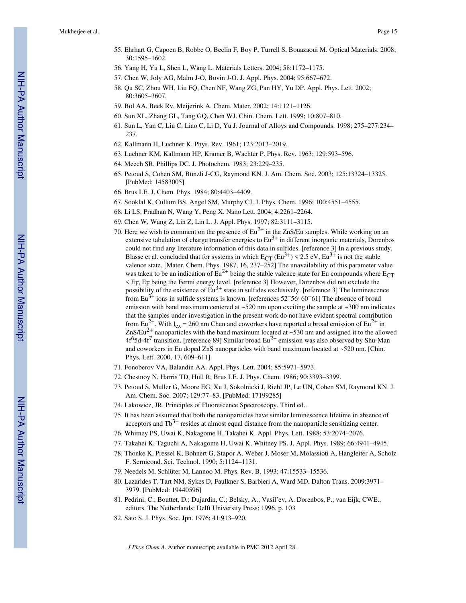- 55. Ehrhart G, Capoen B, Robbe O, Beclin F, Boy P, Turrell S, Bouazaoui M. Optical Materials. 2008; 30:1595–1602.
- 56. Yang H, Yu L, Shen L, Wang L. Materials Letters. 2004; 58:1172–1175.
- 57. Chen W, Joly AG, Malm J-O, Bovin J-O. J. Appl. Phys. 2004; 95:667–672.
- 58. Qu SC, Zhou WH, Liu FQ, Chen NF, Wang ZG, Pan HY, Yu DP. Appl. Phys. Lett. 2002; 80:3605–3607.
- 59. Bol AA, Beek Rv, Meijerink A. Chem. Mater. 2002; 14:1121–1126.
- 60. Sun XL, Zhang GL, Tang GQ, Chen WJ. Chin. Chem. Lett. 1999; 10:807–810.
- 61. Sun L, Yan C, Liu C, Liao C, Li D, Yu J. Journal of Alloys and Compounds. 1998; 275–277:234– 237.
- 62. Kallmann H, Luchner K. Phys. Rev. 1961; 123:2013–2019.
- 63. Luchner KM, Kallmann HP, Kramer B, Wachter P. Phys. Rev. 1963; 129:593–596.
- 64. Meech SR, Phillips DC. J. Photochem. 1983; 23:229–235.
- 65. Petoud S, Cohen SM, Bünzli J-CG, Raymond KN. J. Am. Chem. Soc. 2003; 125:13324–13325. [PubMed: 14583005]
- 66. Brus LE. J. Chem. Phys. 1984; 80:4403–4409.
- 67. Sooklal K, Cullum BS, Angel SM, Murphy CJ. J. Phys. Chem. 1996; 100:4551–4555.
- 68. Li LS, Pradhan N, Wang Y, Peng X. Nano Lett. 2004; 4:2261–2264.
- 69. Chen W, Wang Z, Lin Z, Lin L. J. Appl. Phys. 1997; 82:3111–3115.
- 70. Here we wish to comment on the presence of  $Eu^{2+}$  in the ZnS/Eu samples. While working on an extensive tabulation of charge transfer energies to  $Eu^{3+}$  in different inorganic materials, Dorenbos could not find any literature information of this data in sulfides. [reference 3] In a previous study, Blasse et al. concluded that for systems in which  $E_{CT} (Eu^{3+}) \le 2.5 \text{ eV}$ ,  $Eu^{3+}$  is not the stable valence state. [Mater. Chem. Phys. 1987, 16, 237–252] The unavailability of this parameter value was taken to be an indication of  $Eu^{2+}$  being the stable valence state for Eu compounds where  $E_{CT}$ < EF, EF being the Fermi energy level. [reference 3] However, Dorenbos did not exclude the possibility of the existence of  $\text{Eu}^{3+}$  state in sulfides exclusively. [reference 3] The luminescence from Eu<sup>3+</sup> ions in sulfide systems is known. [references  $52-56$ ,  $60-61$ ] The absence of broad emission with band maximum centered at  $\sim$  520 nm upon exciting the sample at  $\sim$  300 nm indicates that the samples under investigation in the present work do not have evident spectral contribution from Eu<sup>2+</sup>. With l<sub>ex</sub> = 260 nm Chen and coworkers have reported a broad emission of Eu<sup>2+</sup> in ZnS/Eu<sup>2+</sup> nanoparticles with the band maximum located at  $\sim$  530 nm and assigned it to the allowed  $4f^6$ 5d-4f<sup>7</sup> transition. [reference 89] Similar broad Eu<sup>2+</sup> emission was also observed by Shu-Man and coworkers in Eu doped ZnS nanoparticles with band maximum located at ~520 nm. [Chin. Phys. Lett. 2000, 17, 609–611].
- 71. Fonoberov VA, Balandin AA. Appl. Phys. Lett. 2004; 85:5971–5973.
- 72. Chestnoy N, Harris TD, Hull R, Brus LE. J. Phys. Chem. 1986; 90:3393–3399.
- 73. Petoud S, Muller G, Moore EG, Xu J, Sokolnicki J, Riehl JP, Le UN, Cohen SM, Raymond KN. J. Am. Chem. Soc. 2007; 129:77–83. [PubMed: 17199285]
- 74. Lakowicz, JR. Principles of Fluorescence Spectroscopy. Third ed..
- 75. It has been assumed that both the nanoparticles have similar luminescence lifetime in absence of acceptors and  $Tb^{3+}$  resides at almost equal distance from the nanoparticle sensitizing center.
- 76. Whitney PS, Uwai K, Nakagome H, Takahei K. Appl. Phys. Lett. 1988; 53:2074–2076.
- 77. Takahei K, Taguchi A, Nakagome H, Uwai K, Whitney PS. J. Appl. Phys. 1989; 66:4941–4945.
- 78. Thonke K, Pressel K, Bohnert G, Stapor A, Weber J, Moser M, Molassioti A, Hangleiter A, Scholz F. Sernicond. Sci. Technol. 1990; 5:1124–1131.
- 79. Needels M, Schlüter M, Lannoo M. Phys. Rev. B. 1993; 47:15533–15536.
- 80. Lazarides T, Tart NM, Sykes D, Faulkner S, Barbieri A, Ward MD. Dalton Trans. 2009:3971– 3979. [PubMed: 19440596]
- 81. Pedrini, C.; Bouttet, D.; Dujardin, C.; Belsky, A.; Vasil'ev, A. Dorenbos, P.; van Eijk, CWE., editors. The Netherlands: Delft University Press; 1996. p. 103
- 82. Sato S. J. Phys. Soc. Jpn. 1976; 41:913–920.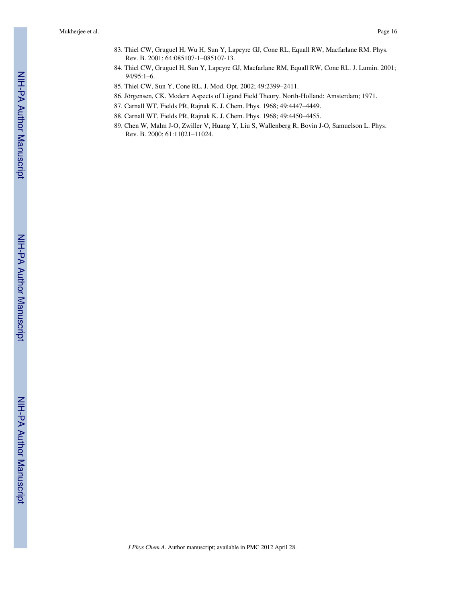- 83. Thiel CW, Gruguel H, Wu H, Sun Y, Lapeyre GJ, Cone RL, Equall RW, Macfarlane RM. Phys. Rev. B. 2001; 64:085107-1–085107-13.
- 84. Thiel CW, Gruguel H, Sun Y, Lapeyre GJ, Macfarlane RM, Equall RW, Cone RL. J. Lumin. 2001; 94/95:1–6.
- 85. Thiel CW, Sun Y, Cone RL. J. Mod. Opt. 2002; 49:2399–2411.
- 86. Jörgensen, CK. Modern Aspects of Ligand Field Theory. North-Holland: Amsterdam; 1971.
- 87. Carnall WT, Fields PR, Rajnak K. J. Chem. Phys. 1968; 49:4447–4449.
- 88. Carnall WT, Fields PR, Rajnak K. J. Chem. Phys. 1968; 49:4450–4455.
- 89. Chen W, Malm J-O, Zwiller V, Huang Y, Liu S, Wallenberg R, Bovin J-O, Samuelson L. Phys. Rev. B. 2000; 61:11021–11024.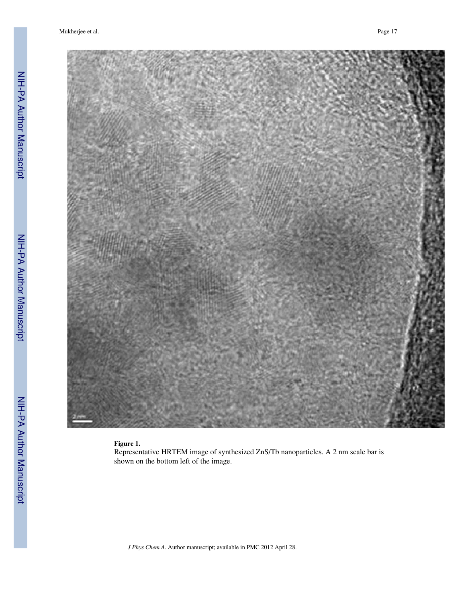

## **Figure 1.**

Representative HRTEM image of synthesized ZnS/Tb nanoparticles. A 2 nm scale bar is shown on the bottom left of the image.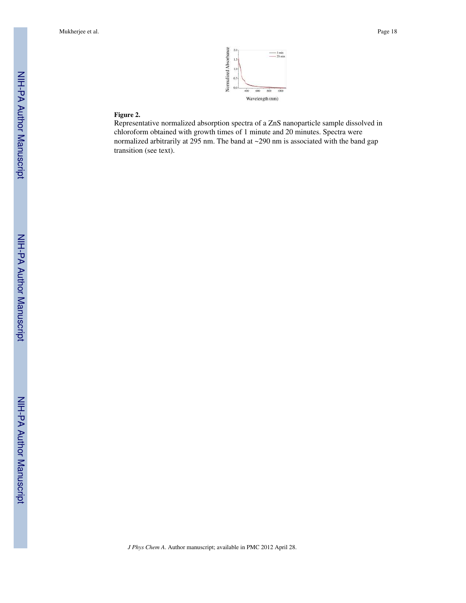

## **Figure 2.**

Representative normalized absorption spectra of a ZnS nanoparticle sample dissolved in chloroform obtained with growth times of 1 minute and 20 minutes. Spectra were normalized arbitrarily at 295 nm. The band at ~290 nm is associated with the band gap transition (see text).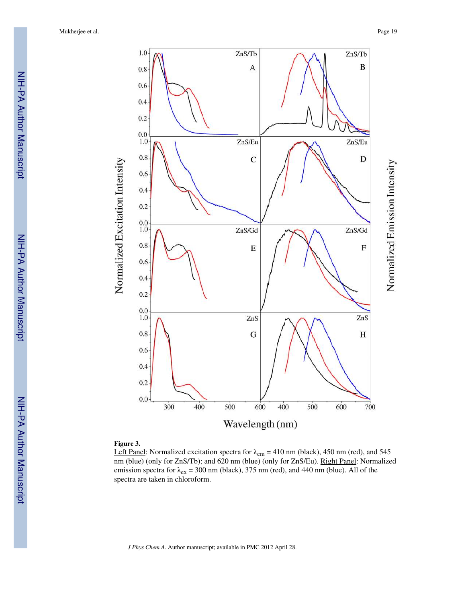

#### **Figure 3.**

Left Panel: Normalized excitation spectra for  $\lambda_{em} = 410$  nm (black), 450 nm (red), and 545 nm (blue) (only for ZnS/Tb); and 620 nm (blue) (only for ZnS/Eu). Right Panel: Normalized emission spectra for  $\lambda_{ex}$  = 300 nm (black), 375 nm (red), and 440 nm (blue). All of the spectra are taken in chloroform.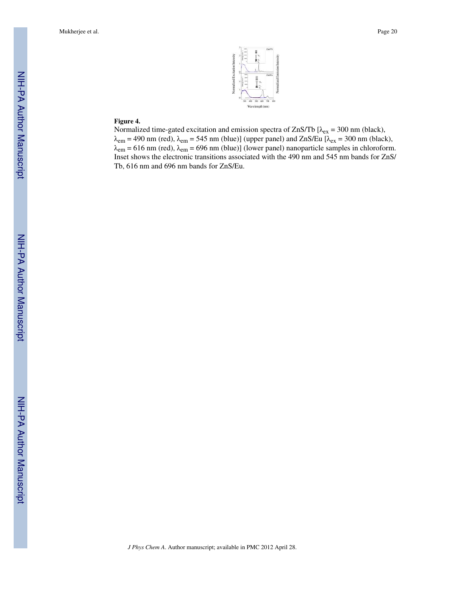

# **Figure 4.**

Normalized time-gated excitation and emission spectra of ZnS/Tb  $[\lambda_{ex} = 300$  nm (black),  $\lambda_{em}$  = 490 nm (red),  $\lambda_{em}$  = 545 nm (blue)] (upper panel) and ZnS/Eu [ $\lambda_{ex}$  = 300 nm (black),  $\lambda_{\text{em}} = 616 \text{ nm}$  (red),  $\lambda_{\text{em}} = 696 \text{ nm}$  (blue)] (lower panel) nanoparticle samples in chloroform. Inset shows the electronic transitions associated with the 490 nm and 545 nm bands for ZnS/ Tb, 616 nm and 696 nm bands for ZnS/Eu.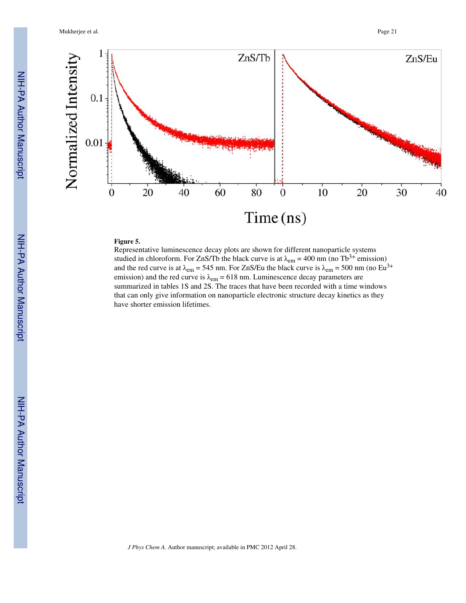Mukherjee et al. Page 21



# **Figure 5.**

Representative luminescence decay plots are shown for different nanoparticle systems studied in chloroform. For ZnS/Tb the black curve is at  $\lambda_{\text{em}} = 400 \text{ nm}$  (no Tb<sup>3+</sup> emission) and the red curve is at  $\lambda_{em} = 545$  nm. For ZnS/Eu the black curve is  $\lambda_{em} = 500$  nm (no Eu<sup>3+</sup> emission) and the red curve is  $\lambda_{em} = 618$  nm. Luminescence decay parameters are summarized in tables 1S and 2S. The traces that have been recorded with a time windows that can only give information on nanoparticle electronic structure decay kinetics as they have shorter emission lifetimes.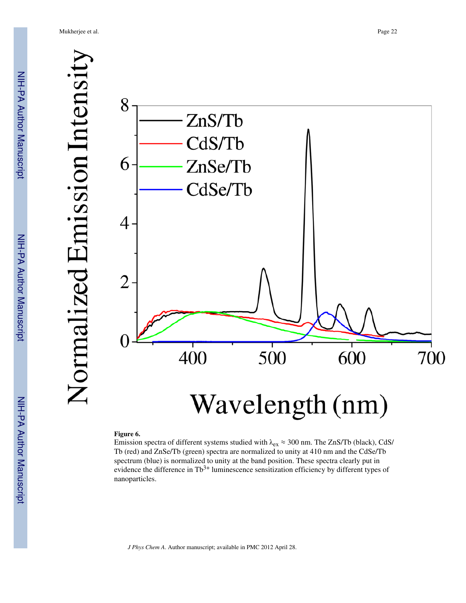NIH-PA Author Manuscript NIH-PA Author Manuscript



#### **Figure 6.**

Emission spectra of different systems studied with  $\lambda_{ex} \approx 300$  nm. The ZnS/Tb (black), CdS/ Tb (red) and ZnSe/Tb (green) spectra are normalized to unity at 410 nm and the CdSe/Tb spectrum (blue) is normalized to unity at the band position. These spectra clearly put in evidence the difference in  $Tb^{3+}$  luminescence sensitization efficiency by different types of nanoparticles.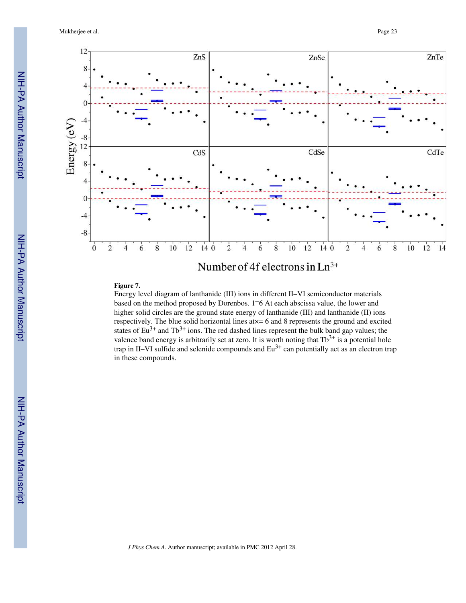Mukherjee et al. Page 23



# **Figure 7.**

Energy level diagram of lanthanide (III) ions in different II–VI semiconductor materials based on the method proposed by Dorenbos. 1–6 At each abscissa value, the lower and higher solid circles are the ground state energy of lanthanide (III) and lanthanide (II) ions respectively. The blue solid horizontal lines  $a$ t $x = 6$  and 8 represents the ground and excited states of  $Eu^{3+}$  and  $Tb^{3+}$  ions. The red dashed lines represent the bulk band gap values; the valence band energy is arbitrarily set at zero. It is worth noting that  $Tb^{3+}$  is a potential hole trap in II–VI sulfide and selenide compounds and  $Eu^{3+}$  can potentially act as an electron trap in these compounds.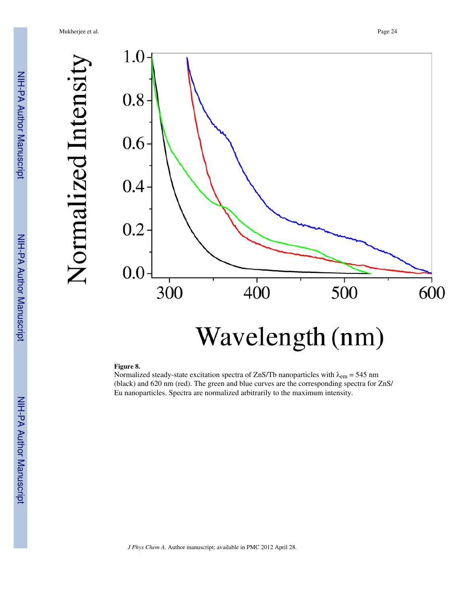Normalized Intensity

NIH-PA Author Manuscript NIH-PA Author Manuscript

 NIH-PA Author ManuscriptNIH-PA Author Manuscript



#### **Figure 8.**

Normalized steady-state excitation spectra of ZnS/Tb nanoparticles with  $\lambda_{em} = 545$  nm (black) and 620 nm (red). The green and blue curves are the corresponding spectra for ZnS/ Eu nanoparticles. Spectra are normalized arbitrarily to the maximum intensity.